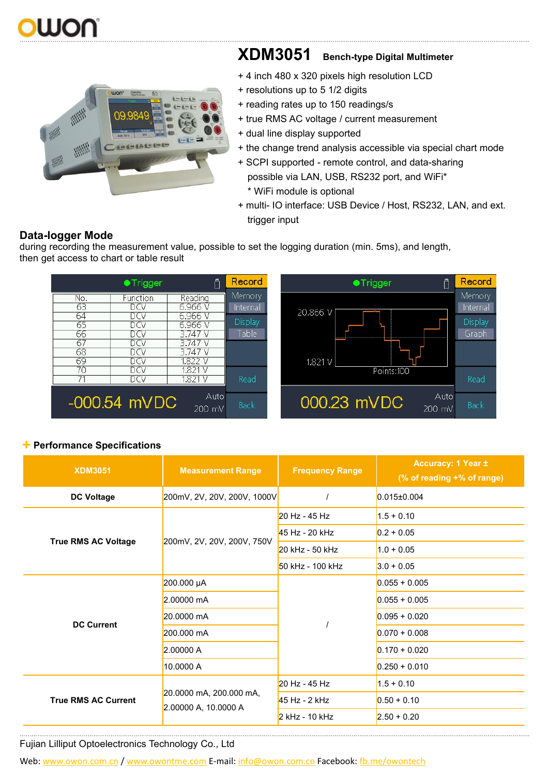## WOU …...………………..……………………………………………………………………………………………………………………………………………………………………………………………………………………



## **XDM3051 Bench-type Digital Multimeter**

- + 4 inch 480 x 320 pixels high resolution LCD
- + resolutions up to 5 1/2 digits
- + reading rates up to 150 readings/s
- + true RMS AC voltage / current measurement
- + dual line display supported
- + the change trend analysis accessible via special chart mode
- + SCPI supported remote control, and data-sharing possible via LAN, USB, RS232 port, and WiFi\* \* WiFi module is optional
- + multi- IO interface: USB Device / Host, RS232, LAN, and ext. trigger input

### Record Record **•Trigger •Trigger** ⋔ Memory Memory Reading No. Function 63 DCV  $6.966V$ Internal Internal 20.866 V DCV<br>DCV 64 6.966 V **Display** Display 65 6.966 V ĐŌV 66  $3.747V$ Table Graph 67 DCV 3.747 V **DCV**<br>DCV 68 3.747 V 69 1.822 V  $1.821V$  $1.821V$ 70 DCV Points:100 Read Read DCV  $1.821V$ 71 Auto Auto -000.54 mVDC 000.23 mVDC Back 200 mV 200 mV

### **Data-logger Mode** during recording the measurement value, possible to set the logging duration (min. 5ms), and length,

then get access to chart or table result

+**Performance Specifications**

| <b>XDM3051</b>             | <b>Measurement Range</b>                        | <b>Frequency Range</b>                                                                                         | <b>Accuracy: 1 Year ±</b><br>(% of reading +% of range) |
|----------------------------|-------------------------------------------------|----------------------------------------------------------------------------------------------------------------|---------------------------------------------------------|
| <b>DC Voltage</b>          | 200mV, 2V, 20V, 200V, 1000V                     |                                                                                                                | $0.015 \pm 0.004$                                       |
|                            |                                                 | 20 Hz - 45 Hz                                                                                                  | $1.5 + 0.10$                                            |
|                            | 200mV, 2V, 20V, 200V, 750V                      | 45 Hz - 20 kHz                                                                                                 | $0.2 + 0.05$                                            |
| <b>True RMS AC Voltage</b> |                                                 | 20 kHz - 50 kHz                                                                                                | $1.0 + 0.05$                                            |
|                            |                                                 | 50 kHz - 100 kHz                                                                                               | $3.0 + 0.05$                                            |
|                            | 200.000 µA                                      | $0.055 + 0.005$<br>$0.055 + 0.005$<br>$0.095 + 0.020$<br>$0.070 + 0.008$<br>$0.170 + 0.020$<br>$0.250 + 0.010$ |                                                         |
|                            | 2.00000 mA                                      |                                                                                                                |                                                         |
| <b>DC Current</b>          | 20.0000 mA                                      |                                                                                                                |                                                         |
|                            | 200.000 mA                                      |                                                                                                                |                                                         |
|                            | 2.00000 A                                       |                                                                                                                |                                                         |
|                            | 10.0000 A                                       |                                                                                                                |                                                         |
|                            | 20.0000 mA, 200.000 mA,<br>2.00000 A, 10.0000 A | 20 Hz - 45 Hz                                                                                                  | $1.5 + 0.10$                                            |
| <b>True RMS AC Current</b> |                                                 | 45 Hz - 2 kHz                                                                                                  | $0.50 + 0.10$                                           |
|                            |                                                 | 2 kHz - 10 kHz                                                                                                 | $2.50 + 0.20$                                           |

…...………………..……………………………………………………………………………………………………………………………………………………………………………………………………………………

Fujian Lilliput Optoelectronics Technology Co., Ltd

Web: [www.owon.com.cn](http://www.owon.com.cn) / [www.owontme.com](http://www.owontme.com) E-mail: [info@owon.com.cn](mailto:info@owon.com.cn) Facebook: [fb.me/owontech](http://fb.me/owontech)